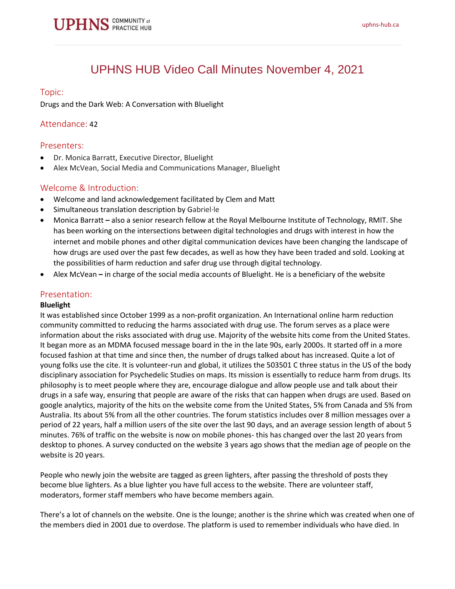# UPHNS HUB Video Call Minutes November 4, 2021

## Topic:

Drugs and the Dark Web: A Conversation with Bluelight

# Attendance: 42

## Presenters:

- Dr. Monica Barratt, Executive Director, Bluelight
- Alex McVean, Social Media and Communications Manager, Bluelight

# Welcome & Introduction:

- Welcome and land acknowledgement facilitated by Clem and Matt
- Simultaneous translation description by Gabriel·le
- Monica Barratt **–** also a senior research fellow at the Royal Melbourne Institute of Technology, RMIT. She has been working on the intersections between digital technologies and drugs with interest in how the internet and mobile phones and other digital communication devices have been changing the landscape of how drugs are used over the past few decades, as well as how they have been traded and sold. Looking at the possibilities of harm reduction and safer drug use through digital technology.
- Alex McVean **–** in charge of the social media accounts of Bluelight. He is a beneficiary of the website

### Presentation:

#### **Bluelight**

It was established since October 1999 as a non-profit organization. An International online harm reduction community committed to reducing the harms associated with drug use. The forum serves as a place were information about the risks associated with drug use. Majority of the website hits come from the United States. It began more as an MDMA focused message board in the in the late 90s, early 2000s. It started off in a more focused fashion at that time and since then, the number of drugs talked about has increased. Quite a lot of young folks use the cite. It is volunteer-run and global, it utilizes the 503501 C three status in the US of the body disciplinary association for Psychedelic Studies on maps. Its mission is essentially to reduce harm from drugs. Its philosophy is to meet people where they are, encourage dialogue and allow people use and talk about their drugs in a safe way, ensuring that people are aware of the risks that can happen when drugs are used. Based on google analytics, majority of the hits on the website come from the United States, 5% from Canada and 5% from Australia. Its about 5% from all the other countries. The forum statistics includes over 8 million messages over a period of 22 years, half a million users of the site over the last 90 days, and an average session length of about 5 minutes. 76% of traffic on the website is now on mobile phones- this has changed over the last 20 years from desktop to phones. A survey conducted on the website 3 years ago shows that the median age of people on the website is 20 years.

People who newly join the website are tagged as green lighters, after passing the threshold of posts they become blue lighters. As a blue lighter you have full access to the website. There are volunteer staff, moderators, former staff members who have become members again.

There's a lot of channels on the website. One is the lounge; another is the shrine which was created when one of the members died in 2001 due to overdose. The platform is used to remember individuals who have died. In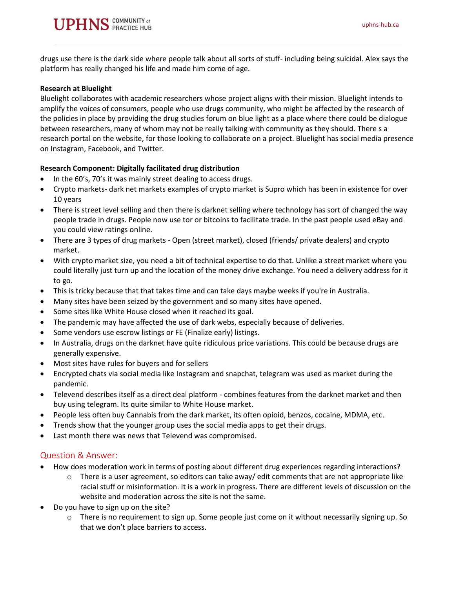

drugs use there is the dark side where people talk about all sorts of stuff- including being suicidal. Alex says the platform has really changed his life and made him come of age.

#### **Research at Bluelight**

Bluelight collaborates with academic researchers whose project aligns with their mission. Bluelight intends to amplify the voices of consumers, people who use drugs community, who might be affected by the research of the policies in place by providing the drug studies forum on blue light as a place where there could be dialogue between researchers, many of whom may not be really talking with community as they should. There s a research portal on the website, for those looking to collaborate on a project. Bluelight has social media presence on Instagram, Facebook, and Twitter.

#### **Research Component: Digitally facilitated drug distribution**

- In the 60's, 70's it was mainly street dealing to access drugs.
- Crypto markets- dark net markets examples of crypto market is Supro which has been in existence for over 10 years
- There is street level selling and then there is darknet selling where technology has sort of changed the way people trade in drugs. People now use tor or bitcoins to facilitate trade. In the past people used eBay and you could view ratings online.
- There are 3 types of drug markets Open (street market), closed (friends/ private dealers) and crypto market.
- With crypto market size, you need a bit of technical expertise to do that. Unlike a street market where you could literally just turn up and the location of the money drive exchange. You need a delivery address for it to go.
- This is tricky because that that takes time and can take days maybe weeks if you're in Australia.
- Many sites have been seized by the government and so many sites have opened.
- Some sites like White House closed when it reached its goal.
- The pandemic may have affected the use of dark webs, especially because of deliveries.
- Some vendors use escrow listings or FE (Finalize early) listings.
- In Australia, drugs on the darknet have quite ridiculous price variations. This could be because drugs are generally expensive.
- Most sites have rules for buyers and for sellers
- Encrypted chats via social media like Instagram and snapchat, telegram was used as market during the pandemic.
- Televend describes itself as a direct deal platform combines features from the darknet market and then buy using telegram. Its quite similar to White House market.
- People less often buy Cannabis from the dark market, its often opioid, benzos, cocaine, MDMA, etc.
- Trends show that the younger group uses the social media apps to get their drugs.
- Last month there was news that Televend was compromised.

## Question & Answer:

- How does moderation work in terms of posting about different drug experiences regarding interactions?
	- $\circ$  There is a user agreement, so editors can take away/ edit comments that are not appropriate like racial stuff or misinformation. It is a work in progress. There are different levels of discussion on the website and moderation across the site is not the same.
- Do you have to sign up on the site?
	- $\circ$  There is no requirement to sign up. Some people just come on it without necessarily signing up. So that we don't place barriers to access.